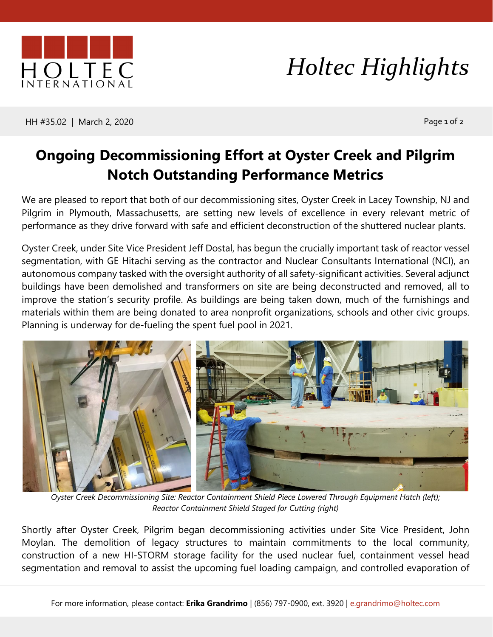

## *Holtec Highlights*

HH #35.02 | March 2, 2020 **Page 1 of 2** 

## **Ongoing Decommissioning Effort at Oyster Creek and Pilgrim Notch Outstanding Performance Metrics**

We are pleased to report that both of our decommissioning sites, Oyster Creek in Lacey Township, NJ and Pilgrim in Plymouth, Massachusetts, are setting new levels of excellence in every relevant metric of performance as they drive forward with safe and efficient deconstruction of the shuttered nuclear plants.

Oyster Creek, under Site Vice President Jeff Dostal, has begun the crucially important task of reactor vessel segmentation, with GE Hitachi serving as the contractor and Nuclear Consultants International (NCI), an autonomous company tasked with the oversight authority of all safety-significant activities. Several adjunct buildings have been demolished and transformers on site are being deconstructed and removed, all to improve the station's security profile. As buildings are being taken down, much of the furnishings and materials within them are being donated to area nonprofit organizations, schools and other civic groups. Planning is underway for de-fueling the spent fuel pool in 2021.



*Oyster Creek Decommissioning Site: Reactor Containment Shield Piece Lowered Through Equipment Hatch (left); Reactor Containment Shield Staged for Cutting (right)*

Shortly after Oyster Creek, Pilgrim began decommissioning activities under Site Vice President, John Moylan. The demolition of legacy structures to maintain commitments to the local community, construction of a new HI-STORM storage facility for the used nuclear fuel, containment vessel head segmentation and removal to assist the upcoming fuel loading campaign, and controlled evaporation of